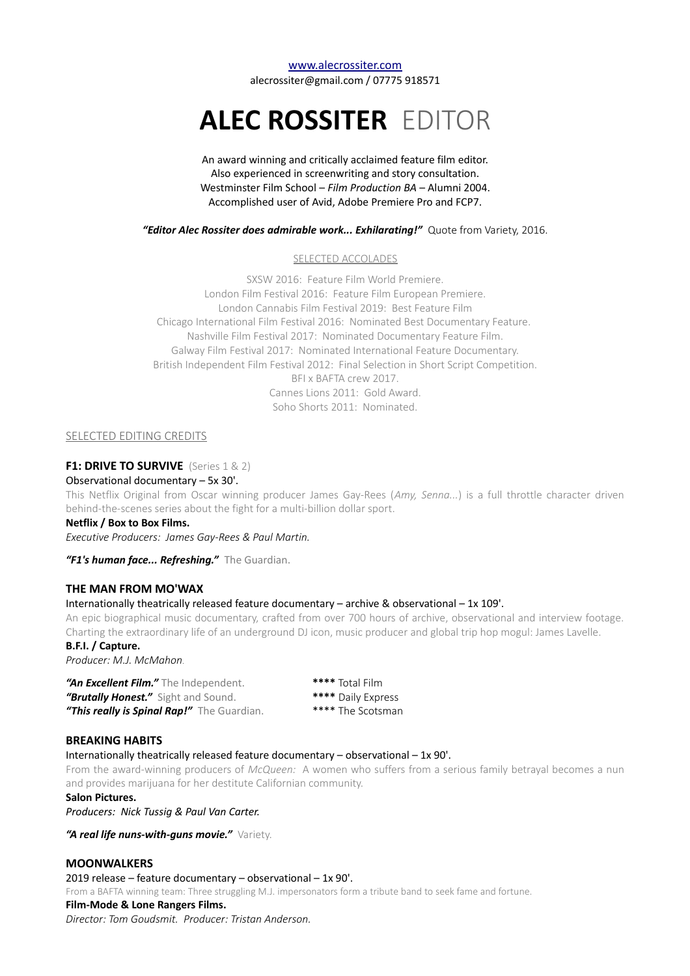[www.alecrossiter.com](http://Www.alecrossiter.com/) alecrossiter@gmail.com / 07775 918571

# **ALEC ROSSITER** EDITOR

An award winning and critically acclaimed feature film editor. Also experienced in screenwriting and story consultation. Westminster Film School – *Film Production BA* – Alumni 2004. Accomplished user of Avid, Adobe Premiere Pro and FCP7.

*"Editor Alec Rossiter does admirable work... Exhilarating!"* Quote from Variety, 2016.

#### SELECTED ACCOLADES

SXSW 2016: Feature Film World Premiere. London Film Festival 2016: Feature Film European Premiere. London Cannabis Film Festival 2019: Best Feature Film Chicago International Film Festival 2016: Nominated Best Documentary Feature. Nashville Film Festival 2017: Nominated Documentary Feature Film. Galway Film Festival 2017: Nominated International Feature Documentary. British Independent Film Festival 2012: Final Selection in Short Script Competition. BFI x BAFTA crew 2017. Cannes Lions 2011: Gold Award. Soho Shorts 2011: Nominated.

## SELECTED EDITING CREDITS

## **F1: DRIVE TO SURVIVE** (Series 1 & 2)

#### Observational documentary – 5x 30'.

This Netflix Original from Oscar winning producer James Gay-Rees (*Amy, Senna...*) is a full throttle character driven behind-the-scenes series about the fight for a multi-billion dollar sport.

### **Netflix / Box to Box Films.**

*Executive Producers: James Gay-Rees & Paul Martin.* 

*"F1's human face... Refreshing."* The Guardian.

## **THE MAN FROM MO'WAX**

#### Internationally theatrically released feature documentary – archive & observational – 1x 109'.

An epic biographical music documentary, crafted from over 700 hours of archive, observational and interview footage. Charting the extraordinary life of an underground DJ icon, music producer and global trip hop mogul: James Lavelle.

**B.F.I. / Capture.**

*Producer: M.J. McMahon.*

*"An Excellent Film."* The Independent. **\*\*\*\*** Total Film *"Brutally Honest."* Sight and Sound. **\*\*\*\*** Daily Express "This really is Spinal Rap!" The Guardian. \*\*\*\* The Scotsman

# **BREAKING HABITS**

Internationally theatrically released feature documentary – observational – 1x 90'.

From the award-winning producers of *McQueen:* A women who suffers from a serious family betrayal becomes a nun and provides marijuana for her destitute Californian community.

**Salon Pictures.**

*Producers: Nick Tussig & Paul Van Carter.*

*"A real life nuns-with-guns movie."* Variety.

# **MOONWALKERS**

2019 release – feature documentary – observational – 1x 90'. From a BAFTA winning team: Three struggling M.J. impersonators form a tribute band to seek fame and fortune. **Film-Mode & Lone Rangers Films.** *Director: Tom Goudsmit. Producer: Tristan Anderson.*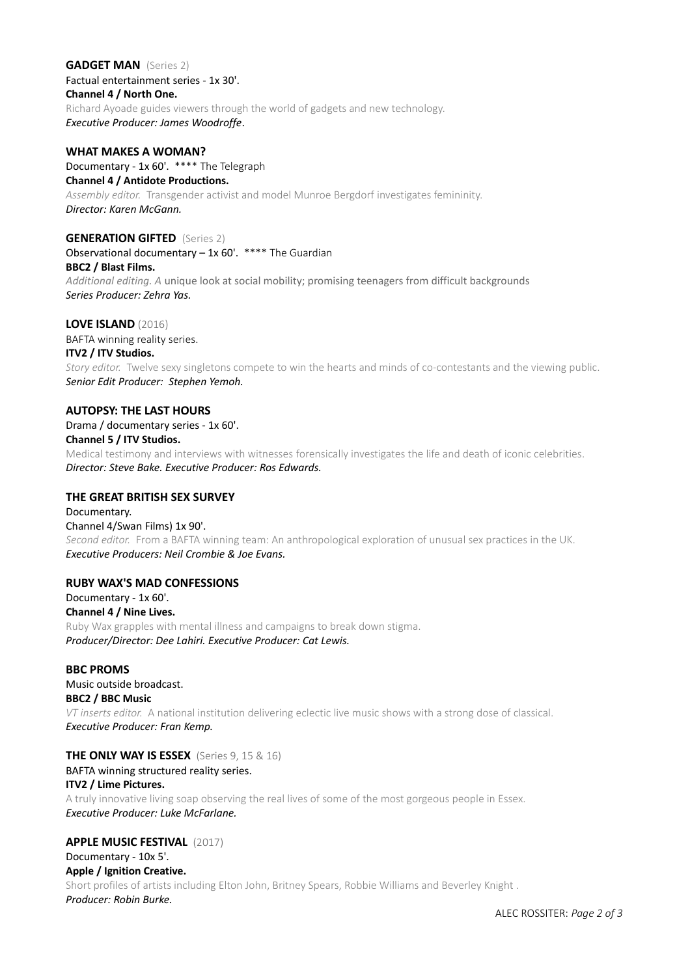#### **GADGET MAN** (Series 2)

Factual entertainment series - 1x 30'.

# **Channel 4 / North One.**

Richard Ayoade guides viewers through the world of gadgets and new technology. *Executive Producer: James Woodroffe*.

## **WHAT MAKES A WOMAN?**

Documentary - 1x 60'. \*\*\*\* The Telegraph

## **Channel 4 / Antidote Productions.**

*Assembly editor.* Transgender activist and model Munroe Bergdorf investigates femininity. *Director: Karen McGann.*

# **GENERATION GIFTED** (Series 2)

Observational documentary – 1x 60'. \*\*\*\* The Guardian

## **BBC2 / Blast Films.**

*Additional editing. A* unique look at social mobility; promising teenagers from difficult backgrounds *Series Producer: Zehra Yas.*

## **LOVE ISLAND** (2016)

BAFTA winning reality series.

# **ITV2 / ITV Studios.**

*Story editor.* Twelve sexy singletons compete to win the hearts and minds of co-contestants and the viewing public. *Senior Edit Producer: Stephen Yemoh.*

## **AUTOPSY: THE LAST HOURS**

# Drama / documentary series - 1x 60'. **Channel 5 / ITV Studios.**

Medical testimony and interviews with witnesses forensically investigates the life and death of iconic celebrities. *Director: Steve Bake. Executive Producer: Ros Edwards.*

# **THE GREAT BRITISH SEX SURVEY**

## Documentary. Channel 4/Swan Films) 1x 90'. *Second editor.* From a BAFTA winning team: An anthropological exploration of unusual sex practices in the UK. *Executive Producers: Neil Crombie & Joe Evans.*

# **RUBY WAX'S MAD CONFESSIONS**

Documentary - 1x 60'. **Channel 4 / Nine Lives.** Ruby Wax grapples with mental illness and campaigns to break down stigma. *Producer/Director: Dee Lahiri. Executive Producer: Cat Lewis.*

# **BBC PROMS**

Music outside broadcast. **BBC2 / BBC Music** *VT inserts editor.* A national institution delivering eclectic live music shows with a strong dose of classical. *Executive Producer: Fran Kemp.*

# **THE ONLY WAY IS ESSEX** (Series 9, 15 & 16)

# BAFTA winning structured reality series.

# **ITV2 / Lime Pictures.**

A truly innovative living soap observing the real lives of some of the most gorgeous people in Essex. *Executive Producer: Luke McFarlane.*

# **APPLE MUSIC FESTIVAL**(2017)

# Documentary - 10x 5'.

## **Apple / Ignition Creative.**

Short profiles of artists including Elton John, Britney Spears, Robbie Williams and Beverley Knight . *Producer: Robin Burke.*